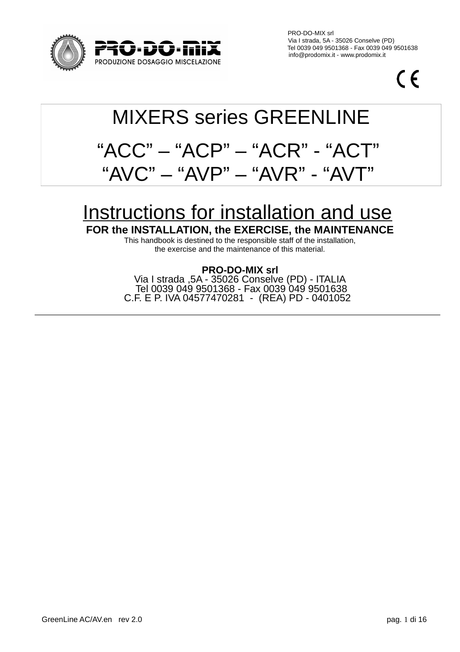

 PRO-DO-MIX srl Via I strada, 5A - 35026 Conselve (PD)  $\overline{J}$  =  $\overline{1}$   $\overline{1}$  =  $\overline{1}$   $\overline{1}$   $\overline{1}$   $\overline{1}$   $\overline{1}$   $\overline{1}$   $\overline{1}$   $\overline{1}$   $\overline{1}$   $\overline{1}$   $\overline{1}$   $\overline{1}$   $\overline{1}$   $\overline{1}$   $\overline{1}$   $\overline{1}$   $\overline{1}$   $\overline{1}$   $\overline{1}$   $\overline{1}$   $\overline{1}$ 

 $\epsilon$ 

# MIXERS series GREENLINE  $"ACC" - "ACP" - "ACP" - "ACR" - "AC"$ "AVC" – "AVP" – "AVR" - "AV

# Instructions for installation and use

**FOR the INSTALLATION, the EXERCISE, the MAINTENANCE**

This handbook is destined to the responsible staff of the installation, the exercise and the maintenance of this material.

# **PRO-DO-MIX srl**

Via I strada ,5A - 35026 Conselve (PD) - ITALIA Tel 0039 049 9501368 - Fax 0039 049 9501638 C.F. E P. IVA 04577470281 - (REA) PD - 0401052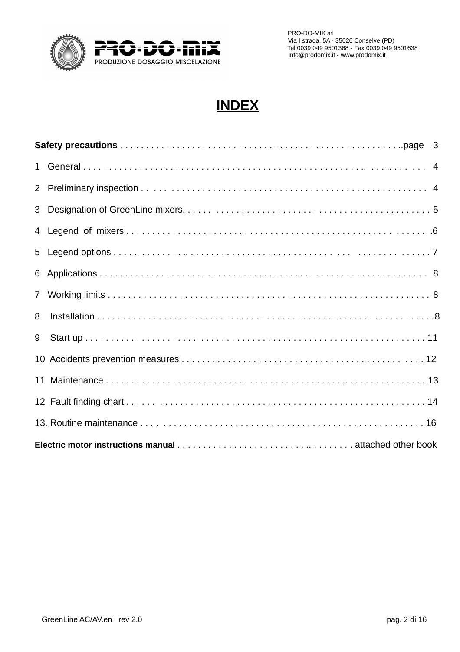

 PRO-DO-MIX srl Via I strada, 5A - 35026 Conselve (PD)

# **INDEX**

| 8 |  |  |  |  |  |  |
|---|--|--|--|--|--|--|
| 9 |  |  |  |  |  |  |
|   |  |  |  |  |  |  |
|   |  |  |  |  |  |  |
|   |  |  |  |  |  |  |
|   |  |  |  |  |  |  |
|   |  |  |  |  |  |  |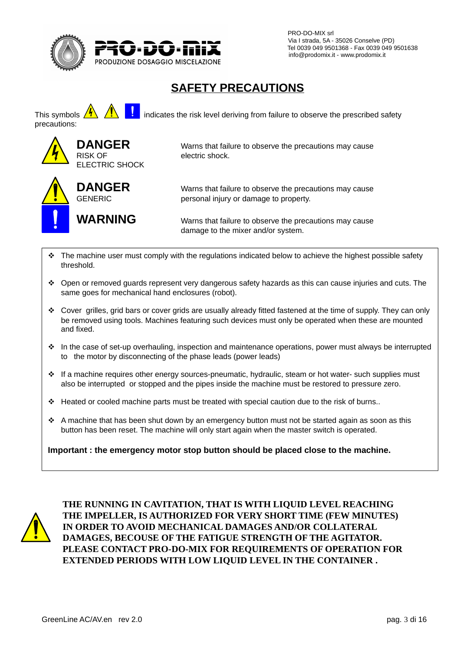

 PRO-DO-MIX srl Via I strada, 5A - 35026 Conselve (PD)  $\overline{1}$   $\overline{1}$   $\overline{1}$   $\overline{1}$   $\overline{1}$   $\overline{1}$   $\overline{1}$   $\overline{1}$   $\overline{1}$   $\overline{1}$   $\overline{1}$   $\overline{1}$   $\overline{1}$   $\overline{1}$   $\overline{1}$   $\overline{1}$   $\overline{1}$   $\overline{1}$   $\overline{1}$   $\overline{1}$   $\overline{1}$   $\overline{1}$   $\overline{1}$   $\overline{1}$   $\overline{$ 

# **SAFETY PRECAUTIONS**

This symbols  $\overline{\mathbf{A}}$   $\overline{\mathbf{B}}$  indicates the risk level deriving from failure to observe the prescribed safety precautions:



**DANGER** Warns that failure to observe the precautions may cause

**DANGER** Warns that failure to observe the precautions may cause GENERIC personal injury or damage to property.

**WARNING** Warns that failure to observe the precautions may cause damage to the mixer and/or system.

- $\div$  The machine user must comply with the regulations indicated below to achieve the highest possible safety threshold.
- Open or removed guards represent very dangerous safety hazards as this can cause injuries and cuts. The same goes for mechanical hand enclosures (robot).
- Cover grilles, grid bars or cover grids are usually already fitted fastened at the time of supply. They can only be removed using tools. Machines featuring such devices must only be operated when these are mounted and fixed.
- $\cdot \cdot$  In the case of set-up overhauling, inspection and maintenance operations, power must always be interrupted to the motor by disconnecting of the phase leads (power leads)
- \* If a machine requires other energy sources-pneumatic, hydraulic, steam or hot water- such supplies must also be interrupted or stopped and the pipes inside the machine must be restored to pressure zero.
- $\div$  Heated or cooled machine parts must be treated with special caution due to the risk of burns..
- $\cdot \cdot$  A machine that has been shut down by an emergency button must not be started again as soon as this button has been reset. The machine will only start again when the master switch is operated.

**Important : the emergency motor stop button should be placed close to the machine.**



**THE RUNNING IN CAVITATION, THAT IS WITH LIQUID LEVEL REACHING THE IMPELLER, IS AUTHORIZED FOR VERY SHORT TIME (FEW MINUTES) IN ORDER TO AVOID MECHANICAL DAMAGES AND/OR COLLATERAL DAMAGES, BECOUSE OF THE FATIGUE STRENGTH OF THE AGITATOR. PLEASE CONTACT PRO-DO-MIX FOR REQUIREMENTS OF OPERATION FOR EXTENDED PERIODS WITH LOW LIQUID LEVEL IN THE CONTAINER .**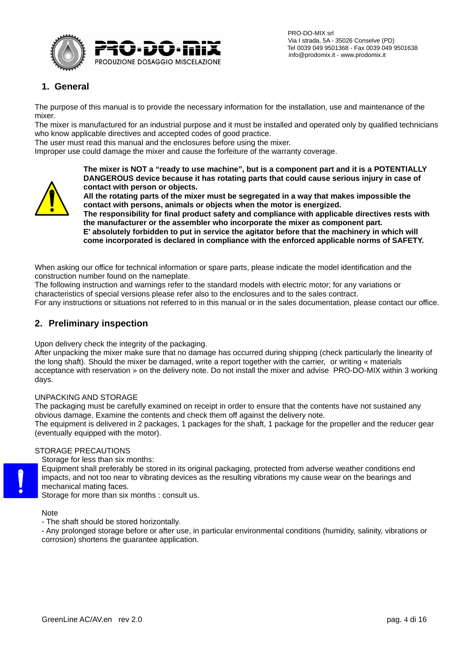

# **1. General**

The purpose of this manual is to provide the necessary information for the installation, use and maintenance of the mixer.

The mixer is manufactured for an industrial purpose and it must be installed and operated only by qualified technicians who know applicable directives and accepted codes of good practice.

The user must read this manual and the enclosures before using the mixer.

Improper use could damage the mixer and cause the forfeiture of the warranty coverage.



**The mixer is NOT a "ready to use machine", but is a component part and it is a POTENTIALLY DANGEROUS device because it has rotating parts that could cause serious injury in case of contact with person or objects.**

**All the rotating parts of the mixer must be segregated in a way that makes impossible the contact with persons, animals or objects when the motor is energized.**

**The responsibility for final product safety and compliance with applicable directives rests with the manufacturer or the assembler who incorporate the mixer as component part. E' absolutely forbidden to put in service the agitator before that the machinery in which will** 

**come incorporated is declared in compliance with the enforced applicable norms of SAFETY.**

When asking our office for technical information or spare parts, please indicate the model identification and the construction number found on the nameplate.

The following instruction and warnings refer to the standard models with electric motor; for any variations or characteristics of special versions please refer also to the enclosures and to the sales contract.

For any instructions or situations not referred to in this manual or in the sales documentation, please contact our office.

### **2. Preliminary inspection**

Upon delivery check the integrity of the packaging.

After unpacking the mixer make sure that no damage has occurred during shipping (check particularly the linearity of the long shaft). Should the mixer be damaged, write a report together with the carrier, or writing « materials acceptance with reservation » on the delivery note. Do not install the mixer and advise PRO-DO-MIX within 3 working days.

#### UNPACKING AND STORAGE

The packaging must be carefully examined on receipt in order to ensure that the contents have not sustained any obvious damage. Examine the contents and check them off against the delivery note.

The equipment is delivered in 2 packages, 1 packages for the shaft, 1 package for the propeller and the reducer gear (eventually equipped with the motor).

#### STORAGE PRECAUTIONS

Storage for less than six months:

Equipment shall preferably be stored in its original packaging, protected from adverse weather conditions end impacts, and not too near to vibrating devices as the resulting vibrations my cause wear on the bearings and mechanical mating faces.

Storage for more than six months : consult us.

Note

- The shaft should be stored horizontally.

- Any prolonged storage before or after use, in particular environmental conditions (humidity, salinity, vibrations or corrosion) shortens the guarantee application.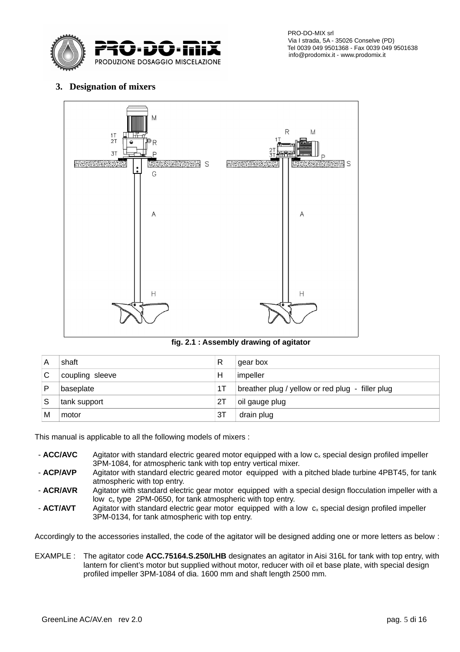

 PRO-DO-MIX srl Via I strada, 5A - 35026 Conselve (PD) Tel 0039 049 9501368 - Fax 0039 049 9501638

## **3. Designation of mixers**



#### **fig. 2.1 : Assembly drawing of agitator**

| A | shaft           | R  | gear box                                         |
|---|-----------------|----|--------------------------------------------------|
|   | coupling sleeve | Н  | impeller                                         |
|   | baseplate       | 1Т | breather plug / yellow or red plug - filler plug |
|   | tank support    | 2Τ | oil gauge plug                                   |
| Μ | motor           | 3T | drain plug                                       |

This manual is applicable to all the following models of mixers :

- **ACC/AVC** Agitator with standard electric geared motor equipped with a low c<sub>x</sub> special design profiled impeller 3PM-1084, for atmospheric tank with top entry vertical mixer.
- **ACP/AVP** Agitator with standard electric geared motor equipped with a pitched blade turbine 4PBT45, for tank atmospheric with top entry.
- **ACR/AVR** Agitator with standard electric gear motor equipped with a special design flocculation impeller with a low  $c<sub>x</sub>$  type 2PM-0650, for tank atmospheric with top entry.
- $\cdot$  **ACT/AVT** Agitator with standard electric gear motor equipped with a low  $c_x$  special design profiled impeller 3PM-0134, for tank atmospheric with top entry.

Accordingly to the accessories installed, the code of the agitator will be designed adding one or more letters as below :

EXAMPLE : The agitator code **ACC.75164.S.250/LHB** designates an agitator in Aisi 316L for tank with top entry, with lantern for client's motor but supplied without motor, reducer with oil et base plate, with special design profiled impeller 3PM-1084 of dia. 1600 mm and shaft length 2500 mm.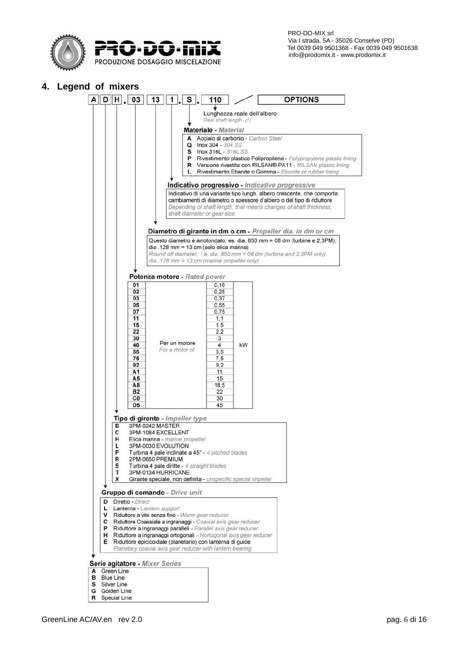

 $A$  $D$  $H$ , 03 13 1, 5

**4. Legend of mixers**

**OPTIONS** 

### $110$ eal shaft length Materiale - Material  $\Omega$ Inox 304 - 304 SS  $\mathbf{s}$ P  $\mathsf{R}$ shaft diameter or gear size. Potenza motore - Rated power  $\overline{0}$  $0.18$  $0<sub>2</sub>$  $0,25$ 03  $0,37$ 05  $0.55$  $07$  $0.75$  $11$  $1.1$



s G

 ${\sf R}$ 

Silver Line

Golden Line

Special Line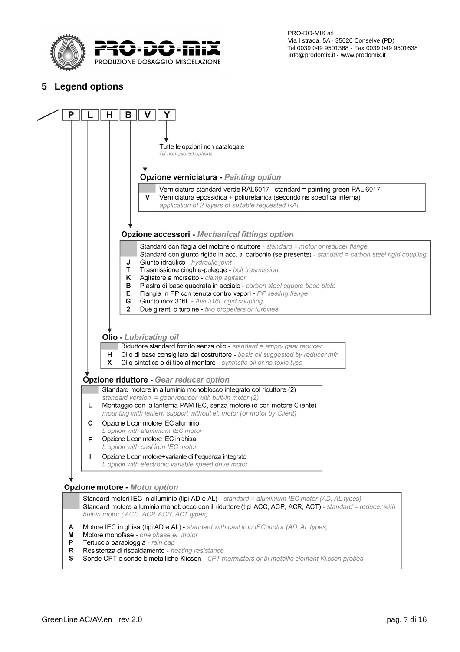

**5 Legend options**



Standard motori IEC in alluminio (tipi AD e AL) - standard = aluminium IEC motor (AD, AL types) Standard motore alluminio monoblocco con il riduttore (tipi ACC, ACP, ACR, ACT) - standard = reducer with buit-in motor (ACC, ACP, ACR, ACT types)

- A Motore IEC in ghisa (tipi AD e AL) - standard with cast iron IEC motor (AD, AL types)
- м Motore monofase - one phase el. motor
- P Tettuccio parapioggia - rain cap
- $\mathsf{R}$ Resistenza di riscaldamento - heating resistance
- S Sonde CPT o sonde bimetalliche Klicson - CPT thermistors or bi-metallic element Klicson probes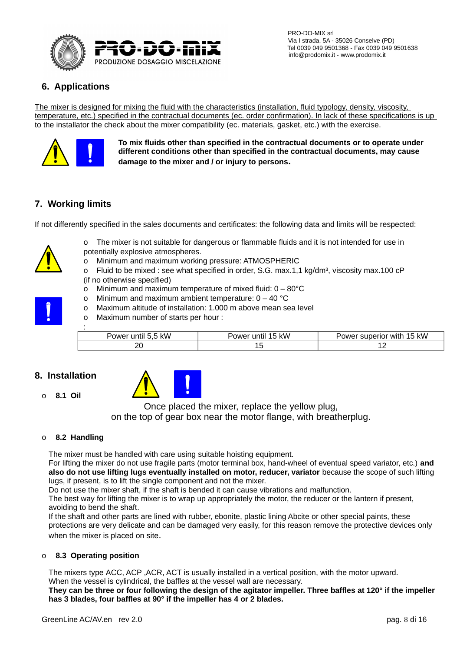

# **6. Applications**

The mixer is designed for mixing the fluid with the characteristics (installation, fluid typology, density, viscosity, temperature, etc.) specified in the contractual documents (ec. order confirmation). In lack of these specifications is up to the installator the check about the mixer compatibility (ec. materials, gasket, etc.) with the exercise.



**To mix fluids other than specified in the contractual documents or to operate under different conditions other than specified in the contractual documents, may cause damage to the mixer and / or injury to persons.**

# **7. Working limits**

If not differently specified in the sales documents and certificates: the following data and limits will be respected:



- o The mixer is not suitable for dangerous or flammable fluids and it is not intended for use in potentially explosive atmospheres.
- o Minimum and maximum working pressure: ATMOSPHERIC
- o Fluid to be mixed : see what specified in order, S.G. max.1.1 kg/dm<sup>3</sup>, viscosity max.100 cP (if no otherwise specified)
- o Minimum and maximum temperature of mixed fluid: 0 80°C
- o Minimum and maximum ambient temperature:  $0 40$  °C
- o Maximum altitude of installation: 1.000 m above mean sea level
- o Maximum number of starts per hour :

| Power until 5,5 kW | Power until 15 kW | Power superior with 15 kW |
|--------------------|-------------------|---------------------------|
| ∠ບ                 | ∸                 | ∸∸                        |

## **8. Installation**

o **8.1 Oil**



Once placed the mixer, replace the yellow plug, on the top of gear box near the motor flange, with breatherplug.

#### o **8.2 Handling**

The mixer must be handled with care using suitable hoisting equipment.

For lifting the mixer do not use fragile parts (motor terminal box, hand-wheel of eventual speed variator, etc.) **and also do not use lifting lugs eventually installed on motor, reducer, variator** because the scope of such lifting lugs, if present, is to lift the single component and not the mixer.

Do not use the mixer shaft, if the shaft is bended it can cause vibrations and malfunction.

The best way for lifting the mixer is to wrap up appropriately the motor, the reducer or the lantern if present, avoiding to bend the shaft.

If the shaft and other parts are lined with rubber, ebonite, plastic lining Abcite or other special paints, these protections are very delicate and can be damaged very easily, for this reason remove the protective devices only when the mixer is placed on site.

#### o **8.3 Operating position**

The mixers type ACC, ACP ,ACR, ACT is usually installed in a vertical position, with the motor upward. When the vessel is cylindrical, the baffles at the vessel wall are necessary.

**They can be three or four following the design of the agitator impeller. Three baffles at 120° if the impeller has 3 blades, four baffles at 90° if the impeller has 4 or 2 blades.**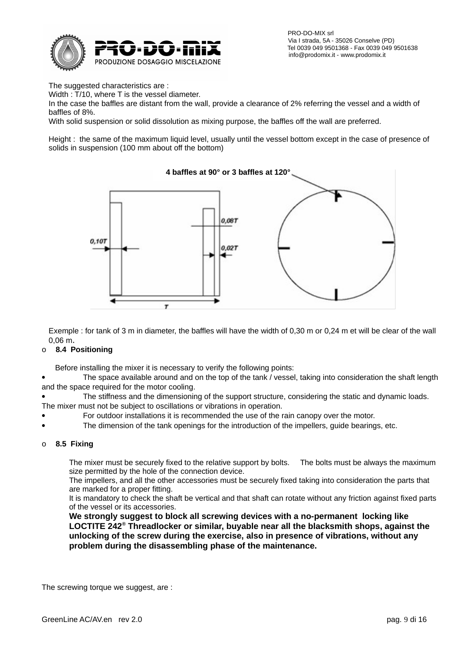

 PRO-DO-MIX srl Via I strada, 5A - 35026 Conselve (PD)  $\overline{J}$  =  $\overline{J}$  =  $\overline{I}$  =  $\overline{I}$   $\overline{I}$   $\overline{I}$   $\overline{I}$   $\overline{I}$   $\overline{I}$   $\overline{I}$   $\overline{I}$   $\overline{I}$   $\overline{I}$   $\overline{I}$   $\overline{I}$   $\overline{I}$   $\overline{I}$   $\overline{I}$   $\overline{I}$   $\overline{I}$   $\overline{I}$   $\overline{I}$   $\overline{I}$   $\overline{I}$ 

The suggested characteristics are :

Width : T/10, where T is the vessel diameter.

In the case the baffles are distant from the wall, provide a clearance of 2% referring the vessel and a width of baffles of 8%.

With solid suspension or solid dissolution as mixing purpose, the baffles off the wall are preferred.

Height : the same of the maximum liquid level, usually until the vessel bottom except in the case of presence of solids in suspension (100 mm about off the bottom)



Exemple : for tank of 3 m in diameter, the baffles will have the width of 0,30 m or 0,24 m et will be clear of the wall 0,06 m.

#### o **8.4 Positioning**

Before installing the mixer it is necessary to verify the following points:

 The space available around and on the top of the tank / vessel, taking into consideration the shaft length and the space required for the motor cooling.

 The stiffness and the dimensioning of the support structure, considering the static and dynamic loads. The mixer must not be subject to oscillations or vibrations in operation.

- For outdoor installations it is recommended the use of the rain canopy over the motor.
- The dimension of the tank openings for the introduction of the impellers, guide bearings, etc.

#### o **8.5 Fixing**

The mixer must be securely fixed to the relative support by bolts. The bolts must be always the maximum size permitted by the hole of the connection device.

The impellers, and all the other accessories must be securely fixed taking into consideration the parts that are marked for a proper fitting.

It is mandatory to check the shaft be vertical and that shaft can rotate without any friction against fixed parts of the vessel or its accessories.

**We strongly suggest to block all screwing devices with a no-permanent locking like LOCTITE 242® Threadlocker or similar, buyable near all the blacksmith shops, against the unlocking of the screw during the exercise, also in presence of vibrations, without any problem during the disassembling phase of the maintenance.**

The screwing torque we suggest, are :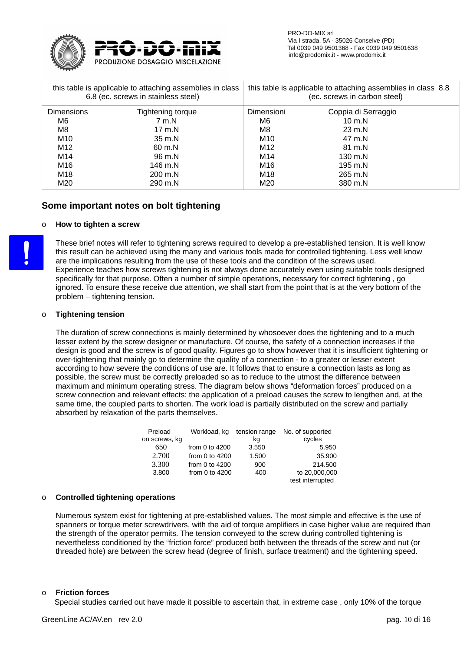

|                   | this table is applicable to attaching assemblies in class<br>6.8 (ec. screws in stainless steel) | this table is applicable to attaching assemblies in class 8.8<br>(ec. screws in carbon steel) |                     |  |
|-------------------|--------------------------------------------------------------------------------------------------|-----------------------------------------------------------------------------------------------|---------------------|--|
| <b>Dimensions</b> | Tightening torque                                                                                | Dimensioni                                                                                    | Coppia di Serraggio |  |
| M6                | 7 m.N                                                                                            | M6                                                                                            | $10 \text{ m}$ .N   |  |
| M8                | $17 \text{ m}$ .N                                                                                | M8                                                                                            | $23 \text{ m}$ .N   |  |
| M10               | $35 \text{ m}$ .N                                                                                | M10                                                                                           | 47 m.N              |  |
| M12               | 60 m.N                                                                                           | M12                                                                                           | 81 m.N              |  |
| M14               | 96 m.N                                                                                           | M14                                                                                           | 130 m.N             |  |
| M16               | 146 m.N                                                                                          | M16                                                                                           | 195 m.N             |  |
| M18               | 200 m.N                                                                                          | M18                                                                                           | 265 m.N             |  |
| M20               | 290 m.N                                                                                          | M20                                                                                           | 380 m.N             |  |

#### **Some important notes on bolt tightening**

#### o **How to tighten a screw**

These brief notes will refer to tightening screws required to develop a pre-established tension. It is well know this result can be achieved using the many and various tools made for controlled tightening. Less well know are the implications resulting from the use of these tools and the condition of the screws used. Experience teaches how screws tightening is not always done accurately even using suitable tools designed specifically for that purpose. Often a number of simple operations, necessary for correct tightening , go ignored. To ensure these receive due attention, we shall start from the point that is at the very bottom of the problem – tightening tension.

#### o **Tightening tension**

The duration of screw connections is mainly determined by whosoever does the tightening and to a much lesser extent by the screw designer or manufacture. Of course, the safety of a connection increases if the design is good and the screw is of good quality. Figures go to show however that it is insufficient tightening or over-tightening that mainly go to determine the quality of a connection - to a greater or lesser extent according to how severe the conditions of use are. It follows that to ensure a connection lasts as long as possible, the screw must be correctly preloaded so as to reduce to the utmost the difference between maximum and minimum operating stress. The diagram below shows "deformation forces" produced on a screw connection and relevant effects: the application of a preload causes the screw to lengthen and, at the same time, the coupled parts to shorten. The work load is partially distributed on the screw and partially absorbed by relaxation of the parts themselves.

| Preload       | Workload, kg     |       | tension range No. of supported |
|---------------|------------------|-------|--------------------------------|
| on screws, kg |                  | kg    | cycles                         |
| 650           | from 0 to $4200$ | 3.550 | 5.950                          |
| 2.700         | from 0 to $4200$ | 1.500 | 35.900                         |
| 3.300         | from 0 to $4200$ | 900   | 214.500                        |
| 3.800         | from 0 to $4200$ | 400   | to 20,000,000                  |
|               |                  |       | test interrupted               |

#### o **Controlled tightening operations**

Numerous system exist for tightening at pre-established values. The most simple and effective is the use of spanners or torque meter screwdrivers, with the aid of torque amplifiers in case higher value are required than the strength of the operator permits. The tension conveyed to the screw during controlled tightening is nevertheless conditioned by the "friction force" produced both between the threads of the screw and nut (or threaded hole) are between the screw head (degree of finish, surface treatment) and the tightening speed.

#### o **Friction forces**

Special studies carried out have made it possible to ascertain that, in extreme case , only 10% of the torque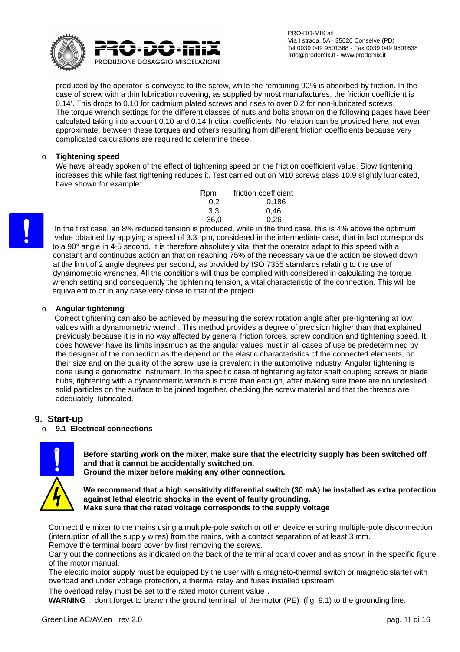

produced by the operator is conveyed to the screw, while the remaining 90% is absorbed by friction. In the case of screw with a thin lubrication covering, as supplied by most manufactures, the friction coefficient is 0.14'. This drops to 0.10 for cadmium plated screws and rises to over 0.2 for non-lubricated screws. The torque wrench settings for the different classes of nuts and bolts shown on the following pages have been calculated taking into account 0.10 and 0.14 friction coefficients. No relation can be provided here, not even approximate, between these torques and others resulting from different friction coefficients because very complicated calculations are required to determine these.

#### o **Tightening speed**

We have already spoken of the effect of tightening speed on the friction coefficient value. Slow tightening increases this while fast tightening reduces it. Test carried out on M10 screws class 10.9 slightly lubricated, have shown for example:

| Rpm  | friction coefficient |
|------|----------------------|
| 0.2  | 0.186                |
| 3.3  | 0.46                 |
| 36,0 | 0.26                 |

 In the first case, an 8% reduced tension is produced, while in the third case, this is 4% above the optimum value obtained by applying a speed of 3.3 rpm, considered in the intermediate case, that in fact corresponds to a 90° angle in 4-5 second. It is therefore absolutely vital that the operator adapt to this speed with a constant and continuous action an that on reaching 75% of the necessary value the action be slowed down at the limit of 2 angle degrees per second, as provided by ISO 7355 standards relating to the use of dynamometric wrenches. All the conditions will thus be complied with considered in calculating the torque wrench setting and consequently the tightening tension, a vital characteristic of the connection. This will be equivalent to or in any case very close to that of the project.

#### o **Angular tightening**

Correct tightening can also be achieved by measuring the screw rotation angle after pre-tightening at low values with a dynamometric wrench. This method provides a degree of precision higher than that explained previously because it is in no way affected by general friction forces, screw condition and tightening speed. It does however have its limits inasmuch as the angular values must in all cases of use be predetermined by the designer of the connection as the depend on the elastic characteristics of the connected elements, on their size and on the quality of the screw. use is prevalent in the automotive industry. Angular tightening is done using a goniometric instrument. In the specific case of tightening agitator shaft coupling screws or blade hubs, tightening with a dynamometric wrench is more than enough, after making sure there are no undesired solid particles on the surface to be joined together, checking the screw material and that the threads are adequately lubricated.

#### **9. Start-up**

#### o **9.1 Electrical connections**



**Before starting work on the mixer, make sure that the electricity supply has been switched off and that it cannot be accidentally switched on.**

**Ground the mixer before making any other connection.**

**We recommend that a high sensitivity differential switch (30 mA) be installed as extra protection against lethal electric shocks in the event of faulty grounding. Make sure that the rated voltage corresponds to the supply voltage**

Connect the mixer to the mains using a multiple-pole switch or other device ensuring multiple-pole disconnection (interruption of all the supply wires) from the mains, with a contact separation of at least 3 mm.

Remove the terminal board cover by first removing the screws.

Carry out the connections as indicated on the back of the terminal board cover and as shown in the specific figure of the motor manual.

The electric motor supply must be equipped by the user with a magneto-thermal switch or magnetic starter with overload and under voltage protection, a thermal relay and fuses installed upstream.

The overload relay must be set to the rated motor current value .

**WARNING**: don't forget to branch the ground terminal of the motor (PE) (fig. 9.1) to the grounding line.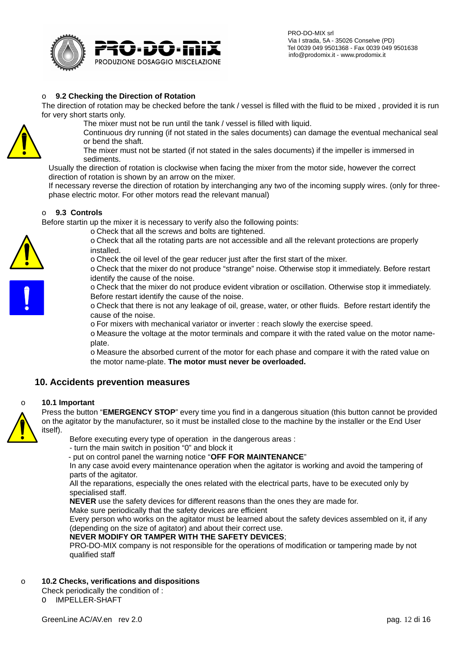

#### o **9.2 Checking the Direction of Rotation**

The direction of rotation may be checked before the tank / vessel is filled with the fluid to be mixed , provided it is run for very short starts only.

The mixer must not be run until the tank / vessel is filled with liquid.

Continuous dry running (if not stated in the sales documents) can damage the eventual mechanical seal or bend the shaft.

The mixer must not be started (if not stated in the sales documents) if the impeller is immersed in sediments.

Usually the direction of rotation is clockwise when facing the mixer from the motor side, however the correct direction of rotation is shown by an arrow on the mixer.

If necessary reverse the direction of rotation by interchanging any two of the incoming supply wires. (only for threephase electric motor. For other motors read the relevant manual)

#### o **9.3 Controls**

Before startin up the mixer it is necessary to verify also the following points:

o Check that all the screws and bolts are tightened.

o Check that all the rotating parts are not accessible and all the relevant protections are properly installed.

o Check the oil level of the gear reducer just after the first start of the mixer.

o Check that the mixer do not produce "strange" noise. Otherwise stop it immediately. Before restart identify the cause of the noise.

o Check that the mixer do not produce evident vibration or oscillation. Otherwise stop it immediately. Before restart identify the cause of the noise.

o Check that there is not any leakage of oil, grease, water, or other fluids. Before restart identify the cause of the noise.

o For mixers with mechanical variator or inverter : reach slowly the exercise speed.

o Measure the voltage at the motor terminals and compare it with the rated value on the motor nameplate.

o Measure the absorbed current of the motor for each phase and compare it with the rated value on the motor name-plate. **The motor must never be overloaded.**

#### **10. Accidents prevention measures**

#### o **10.1 Important**

Press the button "**EMERGENCY STOP**" every time you find in a dangerous situation (this button cannot be provided on the agitator by the manufacturer, so it must be installed close to the machine by the installer or the End User itself).

Before executing every type of operation in the dangerous areas :

- turn the main switch in position "0" and block it

- put on control panel the warning notice "**OFF FOR MAINTENANCE**"

In any case avoid every maintenance operation when the agitator is working and avoid the tampering of parts of the agitator.

All the reparations, especially the ones related with the electrical parts, have to be executed only by specialised staff.

**NEVER** use the safety devices for different reasons than the ones they are made for.

Make sure periodically that the safety devices are efficient

Every person who works on the agitator must be learned about the safety devices assembled on it, if any (depending on the size of agitator) and about their correct use.

#### **NEVER MODIFY OR TAMPER WITH THE SAFETY DEVICES**;

PRO-DO-MIX company is not responsible for the operations of modification or tampering made by not qualified staff

#### o **10.2 Checks, verifications and dispositions**

Check periodically the condition of : O IMPELLER-SHAFT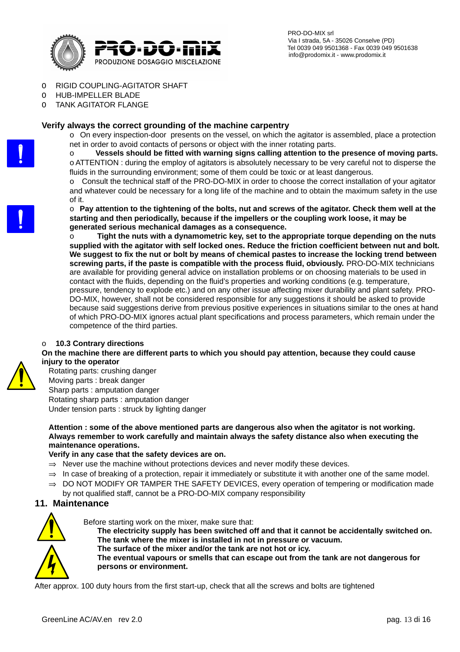

- O RIGID COUPLING-AGITATOR SHAFT
- O HUB-IMPELLER BLADE
- O TANK AGITATOR FLANGE

#### **Verify always the correct grounding of the machine carpentry**

o On every inspection-door presents on the vessel, on which the agitator is assembled, place a protection net in order to avoid contacts of persons or object with the inner rotating parts.

o **Vessels should be fitted with warning signs calling attention to the presence of moving parts.** o ATTENTION : during the employ of agitators is absolutely necessary to be very careful not to disperse the fluids in the surrounding environment; some of them could be toxic or at least dangerous.

o Consult the technical staff of the PRO-DO-MIX in order to choose the correct installation of your agitator and whatever could be necessary for a long life of the machine and to obtain the maximum safety in the use of it.

o **Pay attention to the tightening of the bolts, nut and screws of the agitator. Check them well at the starting and then periodically, because if the impellers or the coupling work loose, it may be generated serious mechanical damages as a consequence.** 

o **Tight the nuts with a dynamometric key, set to the appropriate torque depending on the nuts supplied with the agitator with self locked ones. Reduce the friction coefficient between nut and bolt. We suggest to fix the nut or bolt by means of chemical pastes to increase the locking trend between screwing parts, if the paste is compatible with the process fluid, obviously.** PRO-DO-MIX technicians are available for providing general advice on installation problems or on choosing materials to be used in contact with the fluids, depending on the fluid's properties and working conditions (e.g. temperature, pressure, tendency to explode etc.) and on any other issue affecting mixer durability and plant safety. PRO-DO-MIX, however, shall not be considered responsible for any suggestions it should be asked to provide because said suggestions derive from previous positive experiences in situations similar to the ones at hand of which PRO-DO-MIX ignores actual plant specifications and process parameters, which remain under the competence of the third parties.

#### o **10.3 Contrary directions**

**On the machine there are different parts to which you should pay attention, because they could cause injury to the operator**

Rotating parts: crushing danger Moving parts : break danger Sharp parts : amputation danger Rotating sharp parts : amputation danger Under tension parts : struck by lighting danger

**Attention : some of the above mentioned parts are dangerous also when the agitator is not working. Always remember to work carefully and maintain always the safety distance also when executing the maintenance operations.**

#### **Verify in any case that the safety devices are on.**

- $\Rightarrow$  Never use the machine without protections devices and never modify these devices.
- $\Rightarrow$  In case of breaking of a protection, repair it immediately or substitute it with another one of the same model.
- $\Rightarrow$  DO NOT MODIFY OR TAMPER THE SAFETY DEVICES, every operation of tempering or modification made by not qualified staff, cannot be a PRO-DO-MIX company responsibility

#### **11. Maintenance**



Before starting work on the mixer, make sure that:

**The electricity supply has been switched off and that it cannot be accidentally switched on. The tank where the mixer is installed in not in pressure or vacuum.**

**The surface of the mixer and/or the tank are not hot or icy.**

**The eventual vapours or smells that can escape out from the tank are not dangerous for persons or environment.**

After approx. 100 duty hours from the first start-up, check that all the screws and bolts are tightened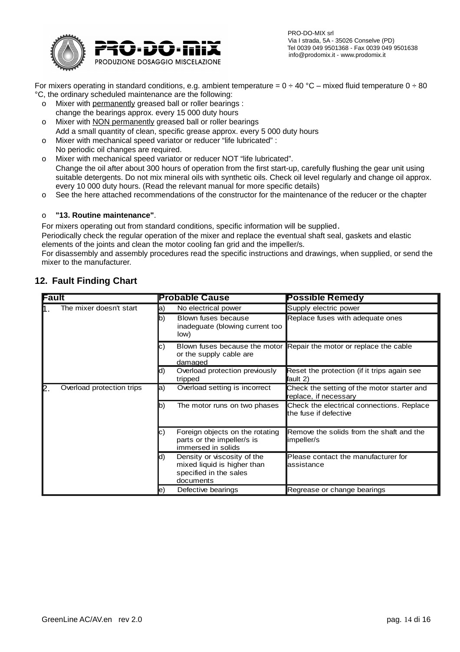

 PRO-DO-MIX srl Via I strada, 5A - 35026 Conselve (PD) Tel 0039 049 9501368 - Fax 0039 049 9501638

For mixers operating in standard conditions, e.g. ambient temperature =  $0 \div 40$  °C – mixed fluid temperature  $0 \div 80$ °C, the ordinary scheduled maintenance are the following:

- o Mixer with permanently greased ball or roller bearings : change the bearings approx. every 15 000 duty hours
- o Mixer with NON permanently greased ball or roller bearings Add a small quantity of clean, specific grease approx. every 5 000 duty hours
- o Mixer with mechanical speed variator or reducer "life lubricated" :
- No periodic oil changes are required.
- o Mixer with mechanical speed variator or reducer NOT "life lubricated". Change the oil after about 300 hours of operation from the first start-up, carefully flushing the gear unit using suitable detergents. Do not mix mineral oils with synthetic oils. Check oil level regularly and change oil approx. every 10 000 duty hours. (Read the relevant manual for more specific details)
- o See the here attached recommendations of the constructor for the maintenance of the reducer or the chapter

#### o **"13. Routine maintenance"**.

For mixers operating out from standard conditions, specific information will be supplied.

Periodically check the regular operation of the mixer and replace the eventual shaft seal, gaskets and elastic elements of the joints and clean the motor cooling fan grid and the impeller/s.

For disassembly and assembly procedures read the specific instructions and drawings, when supplied, or send the mixer to the manufacturer.

| Fault |                           |     | <b>Probable Cause</b>                                                                             | <b>Possible Remedy</b>                                              |
|-------|---------------------------|-----|---------------------------------------------------------------------------------------------------|---------------------------------------------------------------------|
|       | The mixer doesn't start   | a)  | No electrical power                                                                               | Supply electric power                                               |
|       |                           | b)  | Blown fuses because<br>inadeguate (blowing current too<br>low)                                    | Replace fuses with adequate ones                                    |
|       |                           | C)  | or the supply cable are<br>damaged                                                                | Blown fuses because the motor Repair the motor or replace the cable |
|       |                           | Id) | Overload protection previously<br>tripped                                                         | Reset the protection (if it trips again see<br>fault 2)             |
| P     | Overload protection trips | la) | Overload setting is incorrect                                                                     | Check the setting of the motor starter and<br>replace, if necessary |
|       |                           | Ib) | The motor runs on two phases                                                                      | Check the electrical connections. Replace<br>the fuse if defective  |
|       |                           | IC) | Foreign objects on the rotating<br>parts or the impeller/s is<br>immersed in solids               | Remove the solids from the shaft and the<br>impeller/s              |
|       |                           | Id) | Density or viscosity of the<br>mixed liquid is higher than<br>specified in the sales<br>documents | Please contact the manufacturer for<br>assistance                   |
|       |                           | e,  | Defective bearings                                                                                | Regrease or change bearings                                         |

# **12. Fault Finding Chart**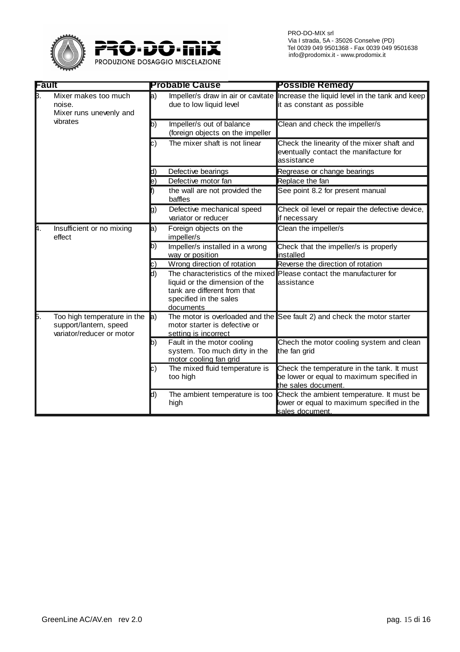

| -ault |                                                                                    | <b>Probable Cause</b> |                                                                                                                                           | <b>Possible Remedy</b>                                                                                          |  |
|-------|------------------------------------------------------------------------------------|-----------------------|-------------------------------------------------------------------------------------------------------------------------------------------|-----------------------------------------------------------------------------------------------------------------|--|
| B.    | Mixer makes too much<br>noise.<br>Mixer runs unevenly and                          | a)                    | due to low liquid level                                                                                                                   | Impeller/s draw in air or cavitate Increase the liquid level in the tank and keep<br>it as constant as possible |  |
|       | vibrates                                                                           | b)                    | Impeller/s out of balance<br>(foreign objects on the impeller                                                                             | Clean and check the impeller/s                                                                                  |  |
|       |                                                                                    | c)                    | The mixer shaft is not linear                                                                                                             | Check the linearity of the mixer shaft and<br>eventually contact the manifacture for<br>assistance              |  |
|       |                                                                                    | d)                    | Defective bearings                                                                                                                        | Regrease or change bearings                                                                                     |  |
|       |                                                                                    | le)                   | Defective motor fan                                                                                                                       | Replace the fan                                                                                                 |  |
|       |                                                                                    |                       | the wall are not provided the<br>baffles                                                                                                  | See point 8.2 for present manual                                                                                |  |
|       |                                                                                    | g)                    | Defective mechanical speed<br>variator or reducer                                                                                         | Check oil level or repair the defective device,<br>if necessary                                                 |  |
| 4.    | Insufficient or no mixing<br>effect                                                | a)                    | Foreign objects on the<br>impeller/s                                                                                                      | Clean the impeller/s                                                                                            |  |
|       |                                                                                    | b)                    | Impeller/s installed in a wrong<br>way or position                                                                                        | Check that the impeller/s is properly<br>installed                                                              |  |
|       |                                                                                    | IC)                   | Wrong direction of rotation                                                                                                               | Reverse the direction of rotation                                                                               |  |
|       |                                                                                    | d)                    | The characteristics of the mixed<br>liquid or the dimension of the<br>tank are different from that<br>specified in the sales<br>documents | Please contact the manufacturer for<br>assistance                                                               |  |
| Б.    | Too high temperature in the<br>support/lantern, speed<br>variator/reducer or motor | $ a\rangle$           | motor starter is defective or<br>setting is incorrect                                                                                     | The motor is overloaded and the See fault 2) and check the motor starter                                        |  |
|       |                                                                                    | b)                    | Fault in the motor cooling<br>system. Too much dirty in the<br>motor cooling fan grid                                                     | Chech the motor cooling system and clean<br>the fan grid                                                        |  |
|       |                                                                                    | $\vert c)$            | The mixed fluid temperature is<br>too high                                                                                                | Check the temperature in the tank. It must<br>be lower or equal to maximum specified in<br>the sales document.  |  |
|       |                                                                                    | d)                    | The ambient temperature is too<br>high                                                                                                    | Check the ambient temperature. It must be<br>lower or equal to maximum specified in the<br>sales document.      |  |